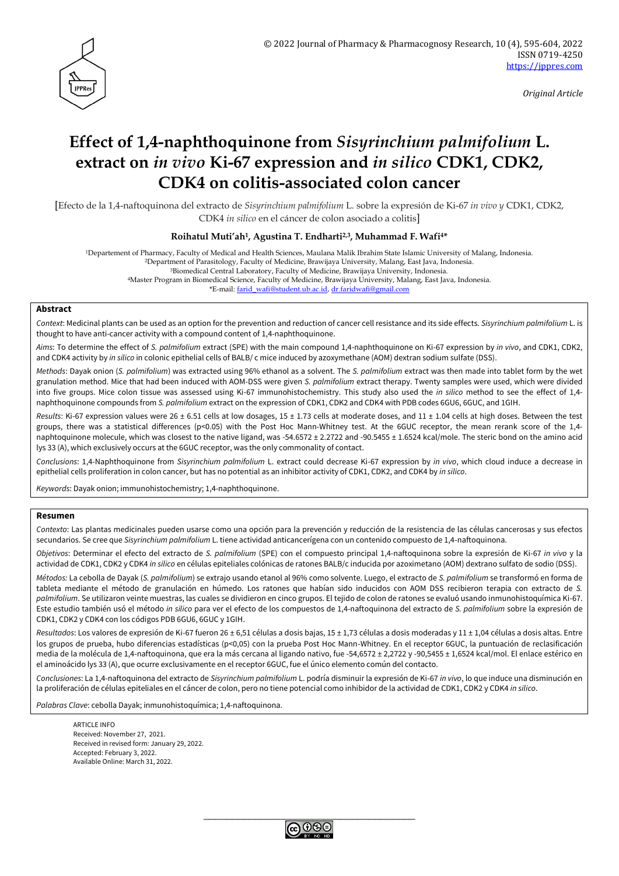

*Original Article*

# **Effect of 1,4-naphthoquinone from** *Sisyrinchium palmifolium* **L. extract on** *in vivo* **Ki-67 expression and** *in silico* **CDK1, CDK2, CDK4 on colitis-associated colon cancer**

[Efecto de la 1,4-naftoquinona del extracto de *Sisyrinchium palmifolium* L. sobre la expresión de Ki-67 *in vivo y* CDK1, CDK2, CDK4 *in silico* en el cáncer de colon asociado a colitis]

#### **Roihatul Muti'ah1, Agustina T. Endharti2,3, Muhammad F. Wafi4\***

<sup>1</sup>Departement of Pharmacy, Faculty of Medical and Health Sciences, Maulana Malik Ibrahim State Islamic University of Malang, Indonesia.

<sup>2</sup>Department of Parasitology, Faculty of Medicine, Brawijaya University, Malang, East Java, Indonesia.

<sup>3</sup>Biomedical Central Laboratory, Faculty of Medicine, Brawijaya University, Indonesia.

<sup>4</sup>Master Program in Biomedical Science, Faculty of Medicine, Brawijaya University, Malang, East Java, Indonesia.

\*E-mail: [farid\\_wafi@student.ub.ac.id,](mailto:farid_wafi@student.ub.ac.id) [dr.faridwafi@gmail.com](mailto:dr.faridwafi@gmail.com)

#### **Abstract**

*Context*: Medicinal plants can be used as an option for the prevention and reduction of cancer cell resistance and its side effects. *Sisyrinchium palmifolium* L. is thought to have anti-cancer activity with a compound content of 1,4-naphthoquinone.

*Aims*: To determine the effect of *S. palmifolium* extract (SPE) with the main compound 1,4-naphthoquinone on Ki-67 expression by *in vivo*, and CDK1, CDK2, and CDK4 activity by *in silico* in colonic epithelial cells of BALB/ c mice induced by azoxymethane (AOM) dextran sodium sulfate (DSS).

*Methods*: Dayak onion (*S. palmifolium*) was extracted using 96% ethanol as a solvent. The *S. palmifolium* extract was then made into tablet form by the wet granulation method. Mice that had been induced with AOM-DSS were given *S. palmifolium* extract therapy. Twenty samples were used, which were divided into five groups. Mice colon tissue was assessed using Ki-67 immunohistochemistry. This study also used the *in silico* method to see the effect of 1,4 naphthoquinone compounds from *S. palmifolium* extract on the expression of CDK1, CDK2 and CDK4 with PDB codes 6GU6, 6GUC, and 1GIH.

*Results*: Ki-67 expression values were 26 ± 6.51 cells at low dosages, 15 ± 1.73 cells at moderate doses, and 11 ± 1.04 cells at high doses. Between the test groups, there was a statistical differences (p<0.05) with the Post Hoc Mann-Whitney test. At the 6GUC receptor, the mean rerank score of the 1,4 naphtoquinone molecule, which was closest to the native ligand, was -54.6572 ± 2.2722 and -90.5455 ± 1.6524 kcal/mole. The steric bond on the amino acid lys 33 (A), which exclusively occurs at the 6GUC receptor, was the only commonality of contact.

*Conclusions*: 1,4-Naphthoquinone from *Sisyrinchium palmifolium* L. extract could decrease Ki-67 expression by *in vivo*, which cloud induce a decrease in epithelial cells proliferation in colon cancer, but has no potential as an inhibitor activity of CDK1, CDK2, and CDK4 by *in silico*.

*Keywords*: Dayak onion; immunohistochemistry; 1,4-naphthoquinone.

#### **Resumen**

*Contexto*: Las plantas medicinales pueden usarse como una opción para la prevención y reducción de la resistencia de las células cancerosas y sus efectos secundarios. Se cree que *Sisyrinchium palmifolium* L. tiene actividad anticancerígena con un contenido compuesto de 1,4-naftoquinona.

*Objetivos*: Determinar el efecto del extracto de *S. palmifolium* (SPE) con el compuesto principal 1,4-naftoquinona sobre la expresión de Ki-67 *in vivo* y la actividad de CDK1, CDK2 y CDK4 *in silico* en células epiteliales colónicas de ratones BALB/c inducida por azoximetano (AOM) dextrano sulfato de sodio (DSS).

*Métodos:* La cebolla de Dayak (*S. palmifolium*) se extrajo usando etanol al 96% como solvente. Luego, el extracto de *S. palmifolium* se transformó en forma de tableta mediante el método de granulación en húmedo. Los ratones que habían sido inducidos con AOM DSS recibieron terapia con extracto de *S. palmifolium*. Se utilizaron veinte muestras, las cuales se dividieron en cinco grupos. El tejido de colon de ratones se evaluó usando inmunohistoquímica Ki-67. Este estudio también usó el método *in silico* para ver el efecto de los compuestos de 1,4-naftoquinona del extracto de *S. palmifolium* sobre la expresión de CDK1, CDK2 y CDK4 con los códigos PDB 6GU6, 6GUC y 1GIH.

*Resultados*: Los valores de expresión de Ki-67 fueron 26 ± 6,51 células a dosis bajas, 15 ± 1,73 células a dosis moderadas y 11 ± 1,04 células a dosis altas. Entre los grupos de prueba, hubo diferencias estadísticas (p<0,05) con la prueba Post Hoc Mann-Whitney. En el receptor 6GUC, la puntuación de reclasificación media de la molécula de 1,4-naftoquinona, que era la más cercana al ligando nativo, fue -54,6572 ± 2,2722 y -90,5455 ± 1,6524 kcal/mol. El enlace estérico en el aminoácido lys 33 (A), que ocurre exclusivamente en el receptor 6GUC, fue el único elemento común del contacto.

*Conclusiones*: La 1,4-naftoquinona del extracto de *Sisyrinchium palmifolium* L. podría disminuir la expresión de Ki-67 *in vivo*, lo que induce una disminución en la proliferación de células epiteliales en el cáncer de colon, pero no tiene potencial como inhibidor de la actividad de CDK1, CDK2 y CDK4 *in silico*.

*Palabras Clave*: cebolla Dayak; inmunohistoquímica; 1,4-naftoquinona.

ARTICLE INFO Received: November 27, 2021. Received in revised form: January 29, 2022. Accepted: February 3, 2022. Available Online: March 31, 2022.

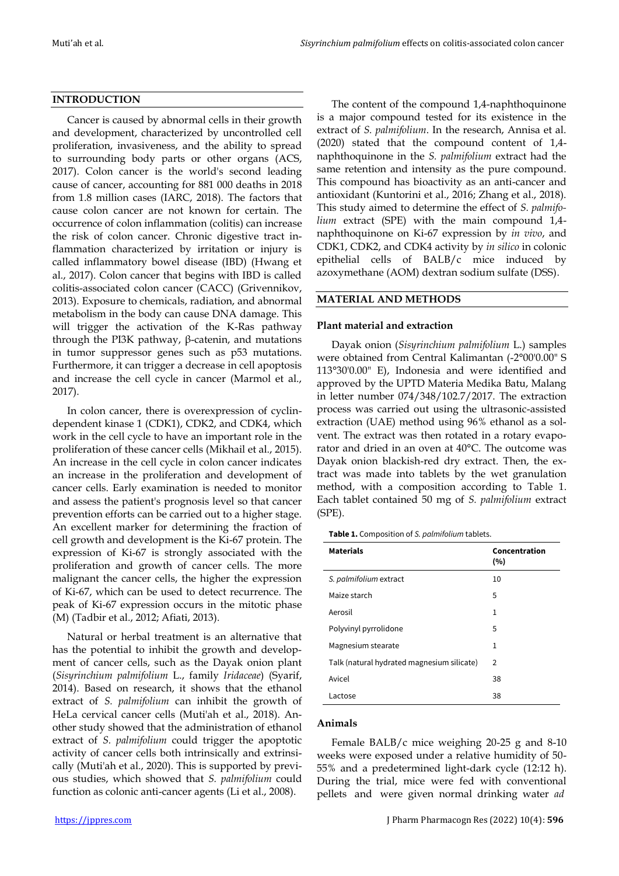### **INTRODUCTION**

Cancer is caused by abnormal cells in their growth and development, characterized by uncontrolled cell proliferation, invasiveness, and the ability to spread to surrounding body parts or other organs (ACS, 2017). Colon cancer is the world's second leading cause of cancer, accounting for 881 000 deaths in 2018 from 1.8 million cases (IARC, 2018). The factors that cause colon cancer are not known for certain. The occurrence of colon inflammation (colitis) can increase the risk of colon cancer. Chronic digestive tract inflammation characterized by irritation or injury is called inflammatory bowel disease (IBD) (Hwang et al., 2017). Colon cancer that begins with IBD is called colitis-associated colon cancer (CACC) (Grivennikov, 2013). Exposure to chemicals, radiation, and abnormal metabolism in the body can cause DNA damage. This will trigger the activation of the K-Ras pathway through the PI3K pathway,  $β$ -catenin, and mutations in tumor suppressor genes such as p53 mutations. Furthermore, it can trigger a decrease in cell apoptosis and increase the cell cycle in cancer (Marmol et al., 2017).

In colon cancer, there is overexpression of cyclindependent kinase 1 (CDK1), CDK2, and CDK4, which work in the cell cycle to have an important role in the proliferation of these cancer cells (Mikhail et al., 2015). An increase in the cell cycle in colon cancer indicates an increase in the proliferation and development of cancer cells. Early examination is needed to monitor and assess the patient's prognosis level so that cancer prevention efforts can be carried out to a higher stage. An excellent marker for determining the fraction of cell growth and development is the Ki-67 protein. The expression of Ki-67 is strongly associated with the proliferation and growth of cancer cells. The more malignant the cancer cells, the higher the expression of Ki-67, which can be used to detect recurrence. The peak of Ki-67 expression occurs in the mitotic phase (M) (Tadbir et al., 2012; Afiati, 2013).

Natural or herbal treatment is an alternative that has the potential to inhibit the growth and development of cancer cells, such as the Dayak onion plant (*Sisyrinchium palmifolium* L., family *Iridaceae*) (Syarif, 2014). Based on research, it shows that the ethanol extract of *S. palmifolium* can inhibit the growth of HeLa cervical cancer cells (Muti'ah et al., 2018). Another study showed that the administration of ethanol extract of *S. palmifolium* could trigger the apoptotic activity of cancer cells both intrinsically and extrinsically (Muti'ah et al., 2020). This is supported by previous studies, which showed that *S. palmifolium* could function as colonic anti-cancer agents (Li et al., 2008).

The content of the compound 1,4-naphthoquinone is a major compound tested for its existence in the extract of *S. palmifolium*. In the research, Annisa et al. (2020) stated that the compound content of 1,4 naphthoquinone in the *S. palmifolium* extract had the same retention and intensity as the pure compound. This compound has bioactivity as an anti-cancer and antioxidant (Kuntorini et al., 2016; Zhang et al., 2018). This study aimed to determine the effect of *S. palmifolium* extract (SPE) with the main compound 1,4 naphthoquinone on Ki-67 expression by *in vivo*, and CDK1, CDK2, and CDK4 activity by *in silico* in colonic epithelial cells of BALB/c mice induced by azoxymethane (AOM) dextran sodium sulfate (DSS).

#### **MATERIAL AND METHODS**

#### **Plant material and extraction**

Dayak onion (*Sisyrinchium palmifolium* L.) samples were obtained from Central Kalimantan (-2°00'0.00" S 113°30'0.00" E), Indonesia and were identified and approved by the UPTD Materia Medika Batu, Malang in letter number 074/348/102.7/2017. The extraction process was carried out using the ultrasonic-assisted extraction (UAE) method using 96% ethanol as a solvent. The extract was then rotated in a rotary evaporator and dried in an oven at 40°C. The outcome was Dayak onion blackish-red dry extract. Then, the extract was made into tablets by the wet granulation method, with a composition according to Table 1. Each tablet contained 50 mg of *S. palmifolium* extract (SPE).

**Table 1.** Composition of *S. palmifolium* tablets.

| <b>Materials</b>                           | Concentration<br>(%) |
|--------------------------------------------|----------------------|
| S. palmifolium extract                     | 10                   |
| Maize starch                               | 5                    |
| Aerosil                                    | $\mathbf{1}$         |
| Polyvinyl pyrrolidone                      | 5                    |
| Magnesium stearate                         | $\mathbf{1}$         |
| Talk (natural hydrated magnesium silicate) | $\overline{2}$       |
| Avicel                                     | 38                   |
| Lactose                                    | 38                   |

#### **Animals**

Female BALB/c mice weighing 20-25 g and 8-10 weeks were exposed under a relative humidity of 50- 55% and a predetermined light-dark cycle (12:12 h). During the trial, mice were fed with conventional pellets and were given normal drinking water *ad*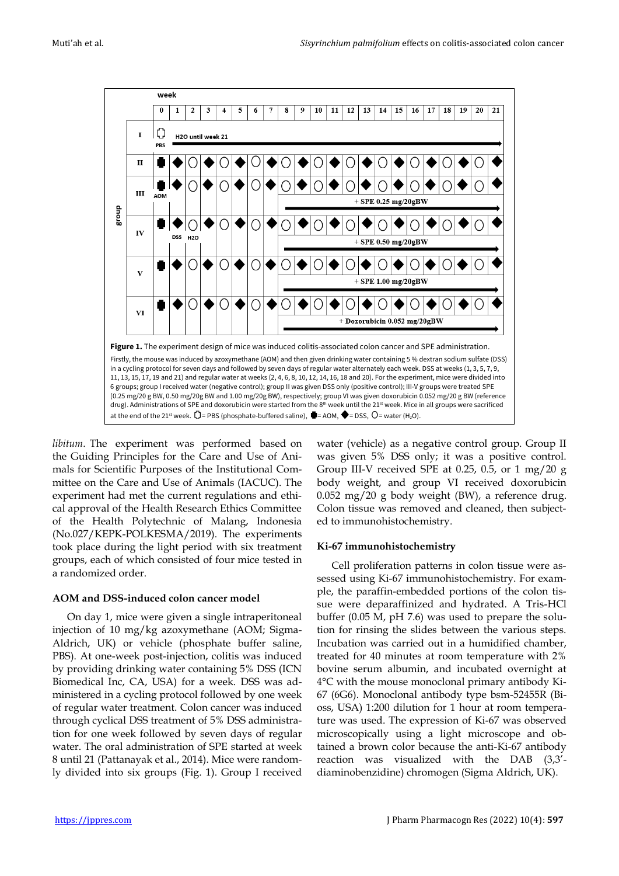

*libitum*. The experiment was performed based on the Guiding Principles for the Care and Use of Animals for Scientific Purposes of the Institutional Committee on the Care and Use of Animals (IACUC). The experiment had met the current regulations and ethical approval of the Health Research Ethics Committee of the Health Polytechnic of Malang, Indonesia (No.027/KEPK-POLKESMA/2019). The experiments took place during the light period with six treatment groups, each of which consisted of four mice tested in a randomized order.

### **AOM and DSS-induced colon cancer model**

On day 1, mice were given a single intraperitoneal injection of 10 mg/kg azoxymethane (AOM; Sigma-Aldrich, UK) or vehicle (phosphate buffer saline, PBS). At one-week post-injection, colitis was induced by providing drinking water containing 5% DSS (ICN Biomedical Inc, CA, USA) for a week. DSS was administered in a cycling protocol followed by one week of regular water treatment. Colon cancer was induced through cyclical DSS treatment of 5% DSS administration for one week followed by seven days of regular water. The oral administration of SPE started at week 8 until 21 (Pattanayak et al., 2014). Mice were randomly divided into six groups (Fig. 1). Group I received water (vehicle) as a negative control group. Group II was given 5% DSS only; it was a positive control. Group III-V received SPE at 0.25, 0.5, or 1 mg/20  $g$ body weight, and group VI received doxorubicin 0.052 mg/20 g body weight (BW), a reference drug. Colon tissue was removed and cleaned, then subjected to immunohistochemistry.

### **Ki-67 immunohistochemistry**

Cell proliferation patterns in colon tissue were assessed using Ki-67 immunohistochemistry. For example, the paraffin-embedded portions of the colon tissue were deparaffinized and hydrated. A Tris-HCl buffer (0.05 M, pH 7.6) was used to prepare the solution for rinsing the slides between the various steps. Incubation was carried out in a humidified chamber, treated for 40 minutes at room temperature with 2% bovine serum albumin, and incubated overnight at 4°C with the mouse monoclonal primary antibody Ki-67 (6G6). Monoclonal antibody type bsm-52455R (Bioss, USA) 1:200 dilution for 1 hour at room temperature was used. The expression of Ki-67 was observed microscopically using a light microscope and obtained a brown color because the anti-Ki-67 antibody reaction was visualized with the DAB (3,3' diaminobenzidine) chromogen (Sigma Aldrich, UK).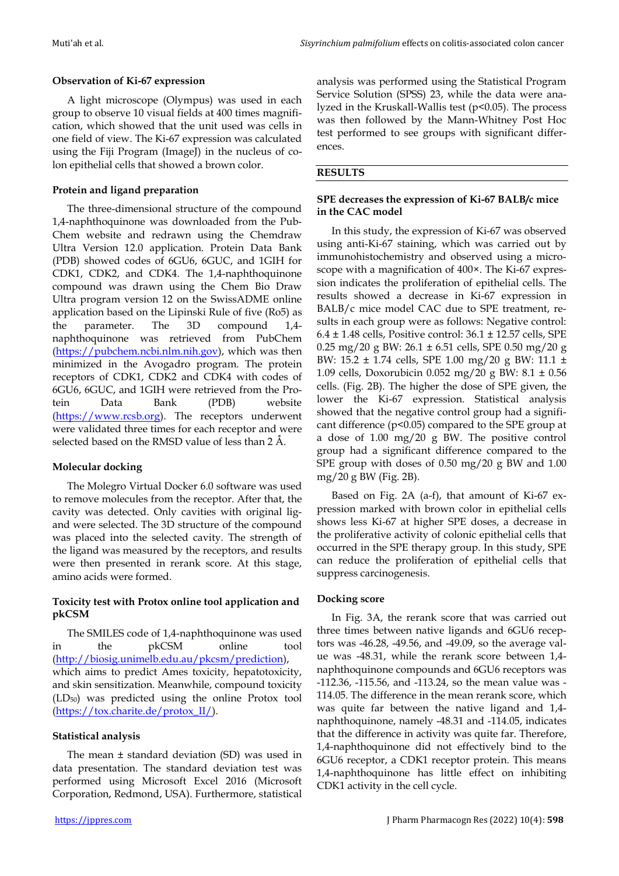# **Observation of Ki-67 expression**

A light microscope (Olympus) was used in each group to observe 10 visual fields at 400 times magnification, which showed that the unit used was cells in one field of view. The Ki-67 expression was calculated using the Fiji Program (ImageJ) in the nucleus of colon epithelial cells that showed a brown color.

# **Protein and ligand preparation**

The three-dimensional structure of the compound 1,4-naphthoquinone was downloaded from the Pub-Chem website and redrawn using the Chemdraw Ultra Version 12.0 application. Protein Data Bank (PDB) showed codes of 6GU6, 6GUC, and 1GIH for CDK1, CDK2, and CDK4. The 1,4-naphthoquinone compound was drawn using the Chem Bio Draw Ultra program version 12 on the SwissADME online application based on the Lipinski Rule of five (Ro5) as the parameter. The 3D compound 1,4 naphthoquinone was retrieved from PubChem [\(https://pubchem.ncbi.nlm.nih.gov\)](https://pubchem.ncbi.nlm.nih.gov/), which was then minimized in the Avogadro program. The protein receptors of CDK1, CDK2 and CDK4 with codes of 6GU6, 6GUC, and 1GIH were retrieved from the Protein Data Bank (PDB) website [\(https://www.rcsb.org\)](https://www.rcsb.org/). The receptors underwent were validated three times for each receptor and were selected based on the RMSD value of less than 2 Å.

# **Molecular docking**

The Molegro Virtual Docker 6.0 software was used to remove molecules from the receptor. After that, the cavity was detected. Only cavities with original ligand were selected. The 3D structure of the compound was placed into the selected cavity. The strength of the ligand was measured by the receptors, and results were then presented in rerank score. At this stage, amino acids were formed.

# **Toxicity test with Protox online tool application and pkCSM**

The SMILES code of 1,4-naphthoquinone was used in the pkCSM online tool [\(http://biosig.unimelb.edu.au/pkcsm/prediction\)](http://biosig.unimelb.edu.au/pkcsm/prediction), which aims to predict Ames toxicity, hepatotoxicity, and skin sensitization. Meanwhile, compound toxicity (LD50) was predicted using the online Protox tool [\(https://tox.charite.de/protox\\_II/\)](https://tox.charite.de/protox_II/).

# **Statistical analysis**

The mean ± standard deviation (SD) was used in data presentation. The standard deviation test was performed using Microsoft Excel 2016 (Microsoft Corporation, Redmond, USA). Furthermore, statistical

analysis was performed using the Statistical Program Service Solution (SPSS) 23, while the data were analyzed in the Kruskall-Wallis test (p<0.05). The process was then followed by the Mann-Whitney Post Hoc test performed to see groups with significant differences.

# **RESULTS**

# **SPE decreases the expression of Ki-67 BALB/c mice in the CAC model**

In this study, the expression of Ki-67 was observed using anti-Ki-67 staining, which was carried out by immunohistochemistry and observed using a microscope with a magnification of 400×. The Ki-67 expression indicates the proliferation of epithelial cells. The results showed a decrease in Ki-67 expression in BALB/c mice model CAC due to SPE treatment, results in each group were as follows: Negative control:  $6.4 \pm 1.48$  cells, Positive control:  $36.1 \pm 12.57$  cells, SPE 0.25 mg/20 g BW:  $26.1 \pm 6.51$  cells, SPE 0.50 mg/20 g BW: 15.2 ± 1.74 cells, SPE 1.00 mg/20 g BW: 11.1 ± 1.09 cells, Doxorubicin 0.052 mg/20 g BW: 8.1 ± 0.56 cells. (Fig. 2B). The higher the dose of SPE given, the lower the Ki-67 expression. Statistical analysis showed that the negative control group had a significant difference (p<0.05) compared to the SPE group at a dose of 1.00 mg/20 g BW. The positive control group had a significant difference compared to the SPE group with doses of 0.50 mg/20 g BW and 1.00 mg/20 g BW (Fig. 2B).

Based on Fig. 2A (a-f), that amount of Ki-67 expression marked with brown color in epithelial cells shows less Ki-67 at higher SPE doses, a decrease in the proliferative activity of colonic epithelial cells that occurred in the SPE therapy group. In this study, SPE can reduce the proliferation of epithelial cells that suppress carcinogenesis.

# **Docking score**

In Fig. 3A, the rerank score that was carried out three times between native ligands and 6GU6 receptors was -46.28, -49.56, and -49.09, so the average value was -48.31, while the rerank score between 1,4 naphthoquinone compounds and 6GU6 receptors was -112.36, -115.56, and -113.24, so the mean value was - 114.05. The difference in the mean rerank score, which was quite far between the native ligand and 1,4 naphthoquinone, namely -48.31 and -114.05, indicates that the difference in activity was quite far. Therefore, 1,4-naphthoquinone did not effectively bind to the 6GU6 receptor, a CDK1 receptor protein. This means 1,4-naphthoquinone has little effect on inhibiting CDK1 activity in the cell cycle.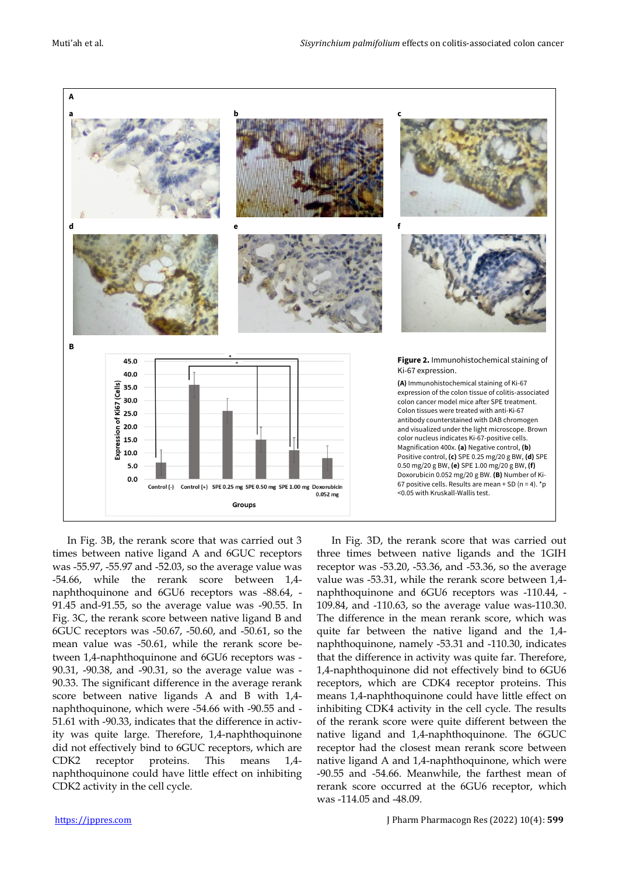

In Fig. 3B, the rerank score that was carried out 3 times between native ligand A and 6GUC receptors was -55.97, -55.97 and -52.03, so the average value was -54.66, while the rerank score between 1,4 naphthoquinone and 6GU6 receptors was -88.64, - 91.45 and-91.55, so the average value was -90.55. In Fig. 3C, the rerank score between native ligand B and 6GUC receptors was -50.67, -50.60, and -50.61, so the mean value was -50.61, while the rerank score between 1,4-naphthoquinone and 6GU6 receptors was - 90.31, -90.38, and -90.31, so the average value was - 90.33. The significant difference in the average rerank score between native ligands A and B with 1,4 naphthoquinone, which were -54.66 with -90.55 and - 51.61 with -90.33, indicates that the difference in activity was quite large. Therefore, 1,4-naphthoquinone did not effectively bind to 6GUC receptors, which are CDK2 receptor proteins. This means 1,4 naphthoquinone could have little effect on inhibiting CDK2 activity in the cell cycle.

In Fig. 3D, the rerank score that was carried out three times between native ligands and the 1GIH receptor was -53.20, -53.36, and -53.36, so the average value was -53.31, while the rerank score between 1,4 naphthoquinone and 6GU6 receptors was -110.44, - 109.84, and -110.63, so the average value was-110.30. The difference in the mean rerank score, which was quite far between the native ligand and the 1,4 naphthoquinone, namely -53.31 and -110.30, indicates that the difference in activity was quite far. Therefore, 1,4-naphthoquinone did not effectively bind to 6GU6 receptors, which are CDK4 receptor proteins. This means 1,4-naphthoquinone could have little effect on inhibiting CDK4 activity in the cell cycle. The results of the rerank score were quite different between the native ligand and 1,4-naphthoquinone. The 6GUC receptor had the closest mean rerank score between native ligand A and 1,4-naphthoquinone, which were -90.55 and -54.66. Meanwhile, the farthest mean of rerank score occurred at the 6GU6 receptor, which was -114.05 and -48.09.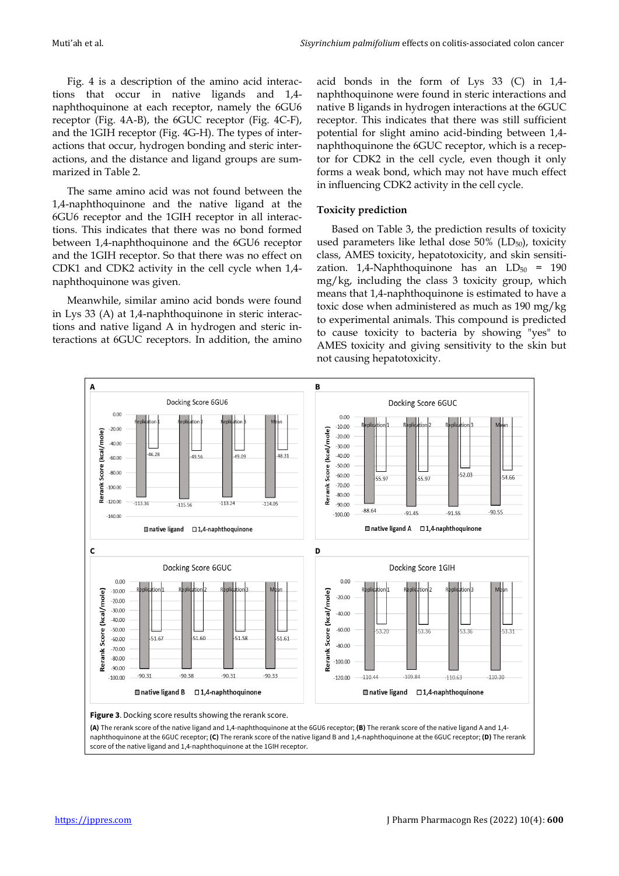Fig. 4 is a description of the amino acid interactions that occur in native ligands and 1,4 naphthoquinone at each receptor, namely the 6GU6 receptor (Fig. 4A-B), the 6GUC receptor (Fig. 4C-F), and the 1GIH receptor (Fig. 4G-H). The types of interactions that occur, hydrogen bonding and steric interactions, and the distance and ligand groups are summarized in Table 2.

The same amino acid was not found between the 1,4-naphthoquinone and the native ligand at the 6GU6 receptor and the 1GIH receptor in all interactions. This indicates that there was no bond formed between 1,4-naphthoquinone and the 6GU6 receptor and the 1GIH receptor. So that there was no effect on CDK1 and CDK2 activity in the cell cycle when 1,4 naphthoquinone was given.

Meanwhile, similar amino acid bonds were found in Lys 33 (A) at 1,4-naphthoquinone in steric interactions and native ligand A in hydrogen and steric interactions at 6GUC receptors. In addition, the amino

acid bonds in the form of Lys 33 (C) in 1,4 naphthoquinone were found in steric interactions and native B ligands in hydrogen interactions at the 6GUC receptor. This indicates that there was still sufficient potential for slight amino acid-binding between 1,4 naphthoquinone the 6GUC receptor, which is a receptor for CDK2 in the cell cycle, even though it only forms a weak bond, which may not have much effect in influencing CDK2 activity in the cell cycle.

## **Toxicity prediction**

Based on Table 3, the prediction results of toxicity used parameters like lethal dose  $50\%$  (LD<sub>50</sub>), toxicity class, AMES toxicity, hepatotoxicity, and skin sensitization. 1,4-Naphthoquinone has an  $LD_{50}$  = 190 mg/kg, including the class 3 toxicity group, which means that 1,4-naphthoquinone is estimated to have a toxic dose when administered as much as 190 mg/kg to experimental animals. This compound is predicted to cause toxicity to bacteria by showing "yes" to AMES toxicity and giving sensitivity to the skin but not causing hepatotoxicity.

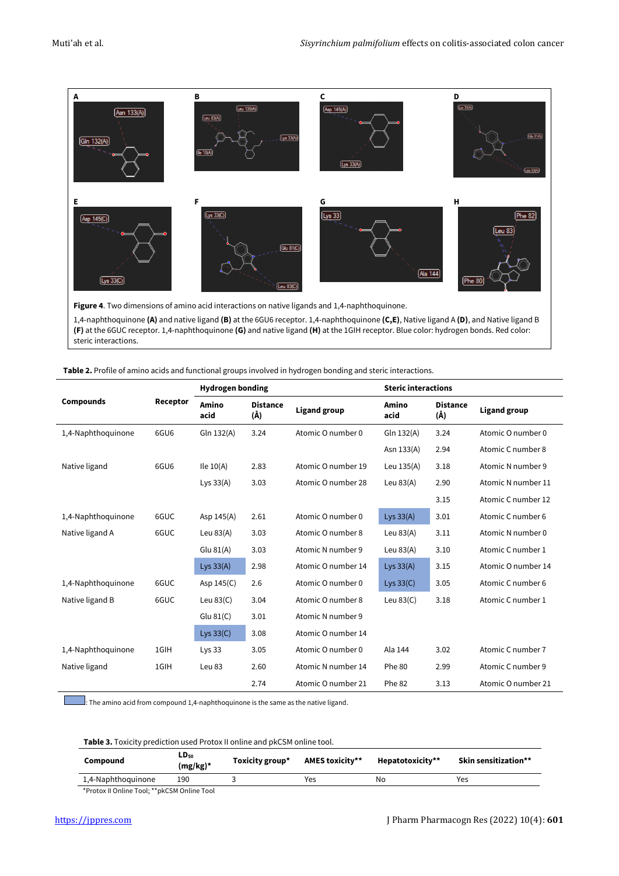

**Figure 4**. Two dimensions of amino acid interactions on native ligands and 1,4-naphthoquinone. 1,4-naphthoquinone **(A)** and native ligand **(B)** at the 6GU6 receptor. 1,4-naphthoquinone **(C,E)**, Native ligand A **(D)**, and Native ligand B **(F)** at the 6GUC receptor. 1,4-naphthoquinone **(G)** and native ligand **(H)** at the 1GIH receptor. Blue color: hydrogen bonds. Red color: steric interactions.

| Table 2. Profile of amino acids and functional groups involved in hydrogen bonding and steric interactions. |  |  |
|-------------------------------------------------------------------------------------------------------------|--|--|
|-------------------------------------------------------------------------------------------------------------|--|--|

|                    |                  | <b>Hydrogen bonding</b> |                        |                     | <b>Steric interactions</b> |                        |                     |
|--------------------|------------------|-------------------------|------------------------|---------------------|----------------------------|------------------------|---------------------|
| <b>Compounds</b>   | Receptor         | Amino<br>acid           | <b>Distance</b><br>(Å) | <b>Ligand group</b> | Amino<br>acid              | <b>Distance</b><br>(Å) | <b>Ligand group</b> |
| 1,4-Naphthoquinone | 6GU <sub>6</sub> | Gln 132(A)              | 3.24                   | Atomic O number 0   | Gln 132(A)                 | 3.24                   | Atomic O number 0   |
|                    |                  |                         |                        |                     | Asn 133(A)                 | 2.94                   | Atomic C number 8   |
| Native ligand      | 6GU6             | Ile $10(A)$             | 2.83                   | Atomic O number 19  | Leu $135(A)$               | 3.18                   | Atomic N number 9   |
|                    |                  | Lys $33(A)$             | 3.03                   | Atomic O number 28  | Leu $83(A)$                | 2.90                   | Atomic N number 11  |
|                    |                  |                         |                        |                     |                            | 3.15                   | Atomic C number 12  |
| 1,4-Naphthoquinone | 6GUC             | Asp $145(A)$            | 2.61                   | Atomic O number 0   | Lys $33(A)$                | 3.01                   | Atomic C number 6   |
| Native ligand A    | 6GUC             | Leu $83(A)$             | 3.03                   | Atomic O number 8   | Leu $83(A)$                | 3.11                   | Atomic N number 0   |
|                    |                  | Glu $81(A)$             | 3.03                   | Atomic N number 9   | Leu $83(A)$                | 3.10                   | Atomic C number 1   |
|                    |                  | Lys $33(A)$             | 2.98                   | Atomic O number 14  | Lys $33(A)$                | 3.15                   | Atomic O number 14  |
| 1,4-Naphthoquinone | 6GUC             | Asp $145(C)$            | 2.6                    | Atomic O number 0   | Lys $33(C)$                | 3.05                   | Atomic C number 6   |
| Native ligand B    | 6GUC             | Leu $83(C)$             | 3.04                   | Atomic O number 8   | Leu $83(C)$                | 3.18                   | Atomic C number 1   |
|                    |                  | Glu $81(C)$             | 3.01                   | Atomic N number 9   |                            |                        |                     |
|                    |                  | Lys $33(C)$             | 3.08                   | Atomic O number 14  |                            |                        |                     |
| 1,4-Naphthoquinone | 1GIH             | Lys $33$                | 3.05                   | Atomic O number 0   | Ala 144                    | 3.02                   | Atomic C number 7   |
| Native ligand      | 1GIH             | Leu 83                  | 2.60                   | Atomic N number 14  | Phe 80                     | 2.99                   | Atomic C number 9   |
|                    |                  |                         | 2.74                   | Atomic O number 21  | Phe 82                     | 3.13                   | Atomic O number 21  |

 $\Box$ : The amino acid from compound 1,4-naphthoquinone is the same as the native ligand.

**Table 3.** Toxicity prediction used Protox II online and pkCSM online tool.

| Compound           | $LD_{50}$<br>(mg/kg)* | Toxicity group* | <b>AMES toxicity**</b> | Hepatotoxicity** | Skin sensitization** |
|--------------------|-----------------------|-----------------|------------------------|------------------|----------------------|
| 1,4-Naphthoquinone | 190                   |                 | Yes                    | No               | Yes                  |
|                    |                       |                 |                        |                  |                      |

\*Protox II Online Tool; \*\*pkCSM Online Tool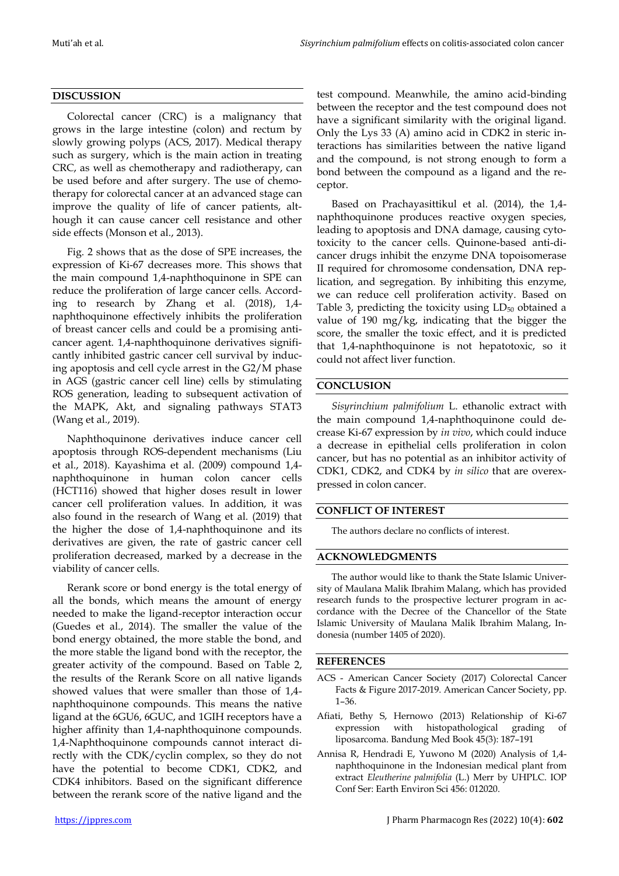## **DISCUSSION**

Colorectal cancer (CRC) is a malignancy that grows in the large intestine (colon) and rectum by slowly growing polyps (ACS, 2017). Medical therapy such as surgery, which is the main action in treating CRC, as well as chemotherapy and radiotherapy, can be used before and after surgery. The use of chemotherapy for colorectal cancer at an advanced stage can improve the quality of life of cancer patients, although it can cause cancer cell resistance and other side effects (Monson et al., 2013).

Fig. 2 shows that as the dose of SPE increases, the expression of Ki-67 decreases more. This shows that the main compound 1,4-naphthoquinone in SPE can reduce the proliferation of large cancer cells. According to research by Zhang et al. (2018), 1,4 naphthoquinone effectively inhibits the proliferation of breast cancer cells and could be a promising anticancer agent. 1,4-naphthoquinone derivatives significantly inhibited gastric cancer cell survival by inducing apoptosis and cell cycle arrest in the G2/M phase in AGS (gastric cancer cell line) cells by stimulating ROS generation, leading to subsequent activation of the MAPK, Akt, and signaling pathways STAT3 (Wang et al., 2019).

Naphthoquinone derivatives induce cancer cell apoptosis through ROS-dependent mechanisms (Liu et al., 2018). Kayashima et al. (2009) compound 1,4 naphthoquinone in human colon cancer cells (HCT116) showed that higher doses result in lower cancer cell proliferation values. In addition, it was also found in the research of Wang et al. (2019) that the higher the dose of 1,4-naphthoquinone and its derivatives are given, the rate of gastric cancer cell proliferation decreased, marked by a decrease in the viability of cancer cells.

Rerank score or bond energy is the total energy of all the bonds, which means the amount of energy needed to make the ligand-receptor interaction occur (Guedes et al., 2014). The smaller the value of the bond energy obtained, the more stable the bond, and the more stable the ligand bond with the receptor, the greater activity of the compound. Based on Table 2, the results of the Rerank Score on all native ligands showed values that were smaller than those of 1,4 naphthoquinone compounds. This means the native ligand at the 6GU6, 6GUC, and 1GIH receptors have a higher affinity than 1,4-naphthoquinone compounds. 1,4-Naphthoquinone compounds cannot interact directly with the CDK/cyclin complex, so they do not have the potential to become CDK1, CDK2, and CDK4 inhibitors. Based on the significant difference between the rerank score of the native ligand and the test compound. Meanwhile, the amino acid-binding between the receptor and the test compound does not have a significant similarity with the original ligand. Only the Lys 33 (A) amino acid in CDK2 in steric interactions has similarities between the native ligand and the compound, is not strong enough to form a bond between the compound as a ligand and the receptor.

Based on Prachayasittikul et al. (2014), the 1,4 naphthoquinone produces reactive oxygen species, leading to apoptosis and DNA damage, causing cytotoxicity to the cancer cells. Quinone-based anti-dicancer drugs inhibit the enzyme DNA topoisomerase II required for chromosome condensation, DNA replication, and segregation. By inhibiting this enzyme, we can reduce cell proliferation activity. Based on Table 3, predicting the toxicity using  $LD_{50}$  obtained a value of 190 mg/kg, indicating that the bigger the score, the smaller the toxic effect, and it is predicted that 1,4-naphthoquinone is not hepatotoxic, so it could not affect liver function.

## **CONCLUSION**

*Sisyrinchium palmifolium* L. ethanolic extract with the main compound 1,4-naphthoquinone could decrease Ki-67 expression by *in vivo*, which could induce a decrease in epithelial cells proliferation in colon cancer, but has no potential as an inhibitor activity of CDK1, CDK2, and CDK4 by *in silico* that are overexpressed in colon cancer.

### **CONFLICT OF INTEREST**

The authors declare no conflicts of interest.

### **ACKNOWLEDGMENTS**

The author would like to thank the State Islamic University of Maulana Malik Ibrahim Malang, which has provided research funds to the prospective lecturer program in accordance with the Decree of the Chancellor of the State Islamic University of Maulana Malik Ibrahim Malang, Indonesia (number 1405 of 2020).

#### **REFERENCES**

- ACS American Cancer Society (2017) Colorectal Cancer Facts & Figure 2017-2019. American Cancer Society, pp. 1–36.
- Afiati, Bethy S, Hernowo (2013) Relationship of Ki-67 expression with histopathological grading of liposarcoma. Bandung Med Book 45(3): 187–191
- Annisa R, Hendradi E, Yuwono M (2020) Analysis of 1,4 naphthoquinone in the Indonesian medical plant from extract *Eleutherine palmifolia* (L.) Merr by UHPLC. IOP Conf Ser: Earth Environ Sci 456: 012020.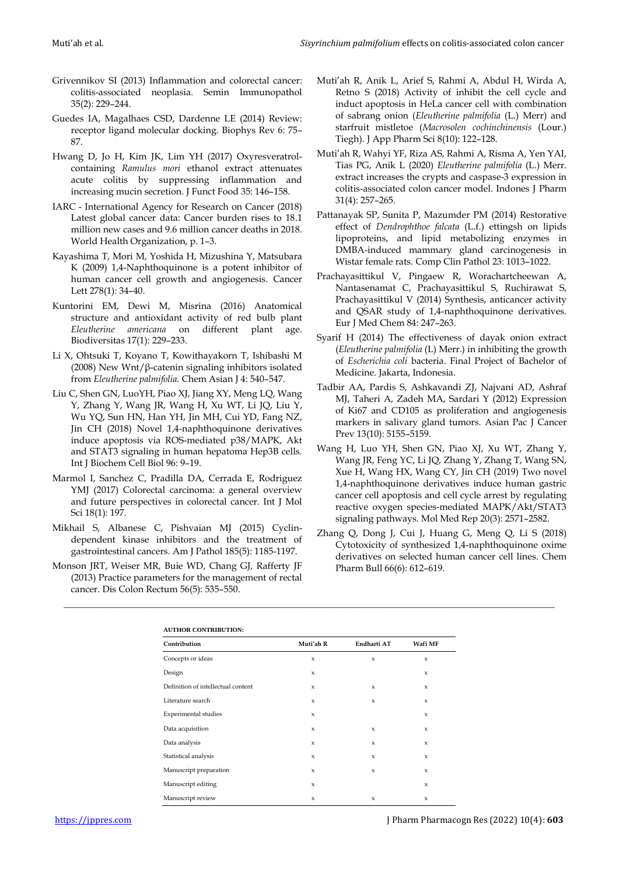- Grivennikov SI (2013) Inflammation and colorectal cancer: colitis-associated neoplasia. Semin Immunopathol 35(2): 229–244.
- Guedes IA, Magalhaes CSD, Dardenne LE (2014) Review: receptor ligand molecular docking. Biophys Rev 6: 75– 87.
- Hwang D, Jo H, Kim JK, Lim YH (2017) Oxyresveratrolcontaining *Ramulus mori* ethanol extract attenuates acute colitis by suppressing inflammation and increasing mucin secretion. J Funct Food 35: 146–158.
- IARC International Agency for Research on Cancer (2018) Latest global cancer data: Cancer burden rises to 18.1 million new cases and 9.6 million cancer deaths in 2018. World Health Organization, p. 1–3.
- Kayashima T, Mori M, Yoshida H, Mizushina Y, Matsubara K (2009) 1,4-Naphthoquinone is a potent inhibitor of human cancer cell growth and angiogenesis. Cancer Lett 278(1): 34–40.
- Kuntorini EM, Dewi M, Misrina (2016) Anatomical structure and antioxidant activity of red bulb plant *Eleutherine americana* on different plant age. Biodiversitas 17(1): 229–233.
- Li X, Ohtsuki T, Koyano T, Kowithayakorn T, Ishibashi M (2008) New Wnt/β-catenin signaling inhibitors isolated from *Eleutherine palmifolia*. Chem Asian J 4: 540–547.
- Liu C, Shen GN, LuoYH, Piao XJ, Jiang XY, Meng LQ, Wang Y, Zhang Y, Wang JR, Wang H, Xu WT, Li JQ, Liu Y, Wu YQ, Sun HN, Han YH, Jin MH, Cui YD, Fang NZ, Jin CH (2018) Novel 1,4-naphthoquinone derivatives induce apoptosis via ROS-mediated p38/MAPK, Akt and STAT3 signaling in human hepatoma Hep3B cells. Int J Biochem Cell Biol 96: 9–19.
- Marmol I, Sanchez C, Pradilla DA, Cerrada E, Rodriguez YMJ (2017) Colorectal carcinoma: a general overview and future perspectives in colorectal cancer. Int J Mol Sci 18(1): 197.
- Mikhail S, Albanese C, Pishvaian MJ (2015) Cyclindependent kinase inhibitors and the treatment of gastrointestinal cancers. Am J Pathol 185(5): 1185-1197.
- Monson JRT, Weiser MR, Buie WD, Chang GJ, Rafferty JF (2013) Practice parameters for the management of rectal cancer. Dis Colon Rectum 56(5): 535–550.
- Muti'ah R, Anik L, Arief S, Rahmi A, Abdul H, Wirda A, Retno S (2018) Activity of inhibit the cell cycle and induct apoptosis in HeLa cancer cell with combination of sabrang onion (*Eleutherine palmifolia* (L.) Merr) and starfruit mistletoe (*Macrosolen cochinchinensis* (Lour.) Tiegh). J App Pharm Sci 8(10): 122–128.
- Muti'ah R, Wahyi YF, Riza AS, Rahmi A, Risma A, Yen YAI, Tias PG, Anik L (2020) *Eleutherine palmifolia* (L.) Merr. extract increases the crypts and caspase-3 expression in colitis-associated colon cancer model. Indones J Pharm 31(4): 257–265.
- Pattanayak SP, Sunita P, Mazumder PM (2014) Restorative effect of *Dendrophthoe falcata* (L.f.) ettingsh on lipids lipoproteins, and lipid metabolizing enzymes in DMBA-induced mammary gland carcinogenesis in Wistar female rats. Comp Clin Pathol 23: 1013–1022.
- Prachayasittikul V, Pingaew R, Worachartcheewan A, Nantasenamat C, Prachayasittikul S, Ruchirawat S, Prachayasittikul V (2014) Synthesis, anticancer activity and QSAR study of 1,4-naphthoquinone derivatives. Eur J Med Chem 84: 247–263.
- Syarif H (2014) The effectiveness of dayak onion extract (*Eleutherine palmifolia* (L) Merr.) in inhibiting the growth of *Escherichia coli* bacteria. Final Project of Bachelor of Medicine. Jakarta, Indonesia.
- Tadbir AA, Pardis S, Ashkavandi ZJ, Najvani AD, Ashraf MJ, Taheri A, Zadeh MA, Sardari Y (2012) Expression of Ki67 and CD105 as proliferation and angiogenesis markers in salivary gland tumors. Asian Pac J Cancer Prev 13(10): 5155–5159.
- Wang H, Luo YH, Shen GN, Piao XJ, Xu WT, Zhang Y, Wang JR, Feng YC, Li JQ, Zhang Y, Zhang T, Wang SN, Xue H, Wang HX, Wang CY, Jin CH (2019) Two novel 1,4-naphthoquinone derivatives induce human gastric cancer cell apoptosis and cell cycle arrest by regulating reactive oxygen species-mediated MAPK/Akt/STAT3 signaling pathways. Mol Med Rep 20(3): 2571–2582.
- Zhang Q, Dong J, Cui J, Huang G, Meng Q, Li S (2018) Cytotoxicity of synthesized 1,4-naphthoquinone oxime derivatives on selected human cancer cell lines. Chem Pharm Bull 66(6): 612–619.

| <b>AUTHOR CONTRIBUTION:</b>        |                     |             |                     |  |
|------------------------------------|---------------------|-------------|---------------------|--|
| Contribution                       | Muti'ah R           | Endharti AT | Wafi MF             |  |
| Concepts or ideas                  | $\mathbf{x}$        | $\mathbf x$ | $\mathsf x$         |  |
| Design                             | $\boldsymbol{\chi}$ |             | $\boldsymbol{\chi}$ |  |
| Definition of intellectual content | $\mathbf{x}$        | $\mathbf x$ | $\mathbf{x}$        |  |
| Literature search                  | $\mathbf{x}$        | $\mathbf x$ | $\boldsymbol{\chi}$ |  |
| Experimental studies               | $\mathsf x$         |             | $\boldsymbol{\chi}$ |  |
| Data acquisition                   | $\mathbf x$         | $\mathbf x$ | $\mathbf x$         |  |
| Data analysis                      | $\mathbf x$         | $\mathbf x$ | $\mathbf x$         |  |
| Statistical analysis               | $\mathbf x$         | $\mathbf x$ | $\boldsymbol{\chi}$ |  |
| Manuscript preparation             | $\mathbf{x}$        | $\mathbf x$ | $\mathbf{x}$        |  |
| Manuscript editing                 | $\mathbf x$         |             | $\mathbf x$         |  |
| Manuscript review                  | $\mathsf x$         | $\mathbf x$ | $\mathbf x$         |  |

\_\_\_\_\_\_\_\_\_\_\_\_\_\_\_\_\_\_\_\_\_\_\_\_\_\_\_\_\_\_\_\_\_\_\_\_\_\_\_\_\_\_\_\_\_\_\_\_\_\_\_\_\_\_\_\_\_\_\_\_\_\_\_\_\_\_\_\_\_\_\_\_\_\_\_\_\_\_\_\_\_\_\_\_\_\_\_\_\_\_\_\_\_\_\_\_\_\_\_\_\_\_\_\_\_